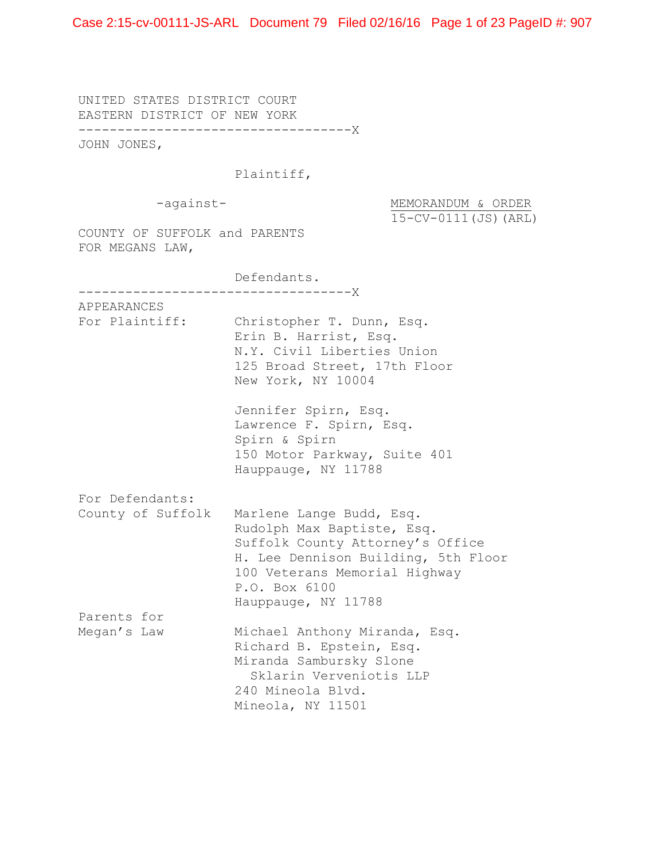UNITED STATES DISTRICT COURT EASTERN DISTRICT OF NEW YORK -----------------------------------X JOHN JONES,

## Plaintiff,

-against-<br>
MEMORANDUM & ORDER 15-CV-0111(JS)(ARL)

COUNTY OF SUFFOLK and PARENTS FOR MEGANS LAW,

 Defendants. -----------------------------------X APPEARANCES For Plaintiff: Christopher T. Dunn, Esq. Erin B. Harrist, Esq. N.Y. Civil Liberties Union 125 Broad Street, 17th Floor New York, NY 10004 Jennifer Spirn, Esq. Lawrence F. Spirn, Esq. Spirn & Spirn 150 Motor Parkway, Suite 401 Hauppauge, NY 11788 For Defendants: County of Suffolk Marlene Lange Budd, Esq. Rudolph Max Baptiste, Esq. Suffolk County Attorney's Office H. Lee Dennison Building, 5th Floor 100 Veterans Memorial Highway P.O. Box 6100 Hauppauge, NY 11788 Parents for Megan's Law Michael Anthony Miranda, Esq. Richard B. Epstein, Esq. Miranda Sambursky Slone Sklarin Verveniotis LLP 240 Mineola Blvd. Mineola, NY 11501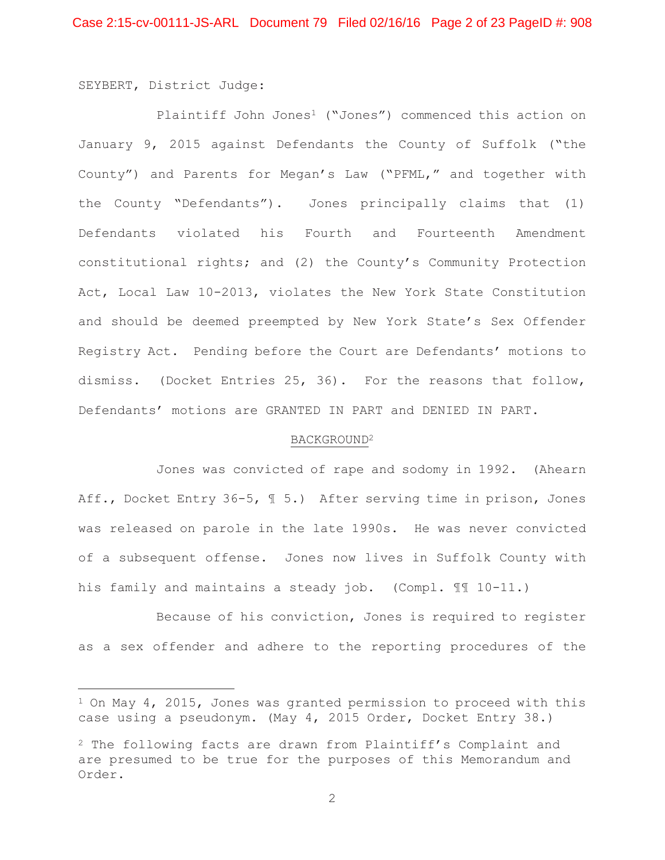SEYBERT, District Judge:

Plaintiff John Jones<sup>1</sup> ("Jones") commenced this action on January 9, 2015 against Defendants the County of Suffolk ("the County") and Parents for Megan's Law ("PFML," and together with the County "Defendants"). Jones principally claims that (1) Defendants violated his Fourth and Fourteenth Amendment constitutional rights; and (2) the County's Community Protection Act, Local Law 10-2013, violates the New York State Constitution and should be deemed preempted by New York State's Sex Offender Registry Act. Pending before the Court are Defendants' motions to dismiss. (Docket Entries 25, 36). For the reasons that follow, Defendants' motions are GRANTED IN PART and DENIED IN PART.

#### BACKGROUND2

 Jones was convicted of rape and sodomy in 1992. (Ahearn Aff., Docket Entry 36-5,  $\text{\texttt{I}}$  5.) After serving time in prison, Jones was released on parole in the late 1990s. He was never convicted of a subsequent offense. Jones now lives in Suffolk County with his family and maintains a steady job. (Compl. ¶¶ 10-11.)

 Because of his conviction, Jones is required to register as a sex offender and adhere to the reporting procedures of the

<sup>&</sup>lt;sup>1</sup> On May 4, 2015, Jones was granted permission to proceed with this case using a pseudonym. (May 4, 2015 Order, Docket Entry 38.)

<sup>2</sup> The following facts are drawn from Plaintiff's Complaint and are presumed to be true for the purposes of this Memorandum and Order.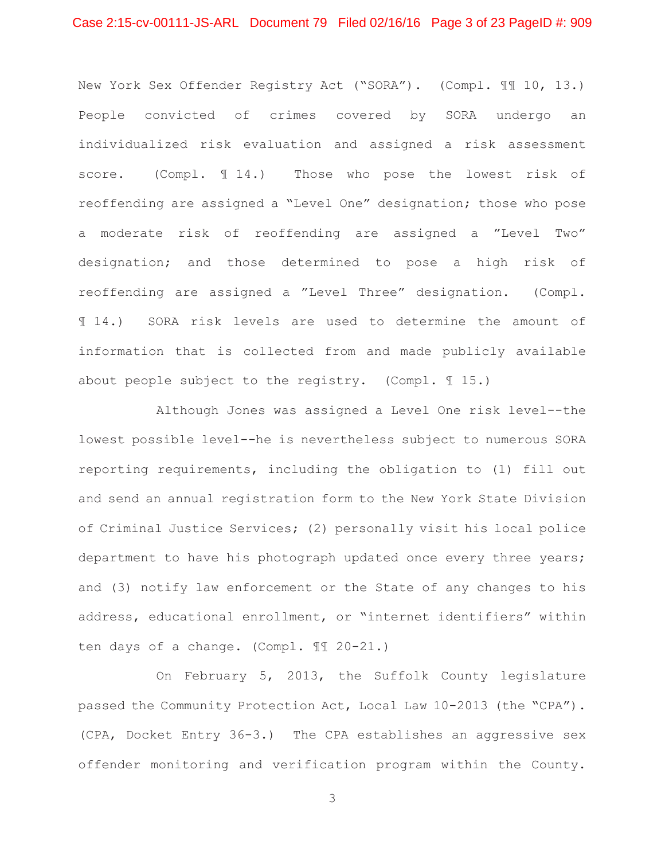## Case 2:15-cv-00111-JS-ARL Document 79 Filed 02/16/16 Page 3 of 23 PageID #: 909

New York Sex Offender Registry Act ("SORA"). (Compl. ¶¶ 10, 13.) People convicted of crimes covered by SORA undergo an individualized risk evaluation and assigned a risk assessment score. (Compl.  $\text{\ensuremath{\mathfrak{A}}}\xspace$  14.) Those who pose the lowest risk of reoffending are assigned a "Level One" designation; those who pose a moderate risk of reoffending are assigned a "Level Two" designation; and those determined to pose a high risk of reoffending are assigned a "Level Three" designation. (Compl. ¶ 14.) SORA risk levels are used to determine the amount of information that is collected from and made publicly available about people subject to the registry. (Compl.  $\mathbb{I}$  15.)

 Although Jones was assigned a Level One risk level--the lowest possible level--he is nevertheless subject to numerous SORA reporting requirements, including the obligation to (1) fill out and send an annual registration form to the New York State Division of Criminal Justice Services; (2) personally visit his local police department to have his photograph updated once every three years; and (3) notify law enforcement or the State of any changes to his address, educational enrollment, or "internet identifiers" within ten days of a change. (Compl. ¶¶ 20-21.)

 On February 5, 2013, the Suffolk County legislature passed the Community Protection Act, Local Law 10-2013 (the "CPA"). (CPA, Docket Entry 36-3.) The CPA establishes an aggressive sex offender monitoring and verification program within the County.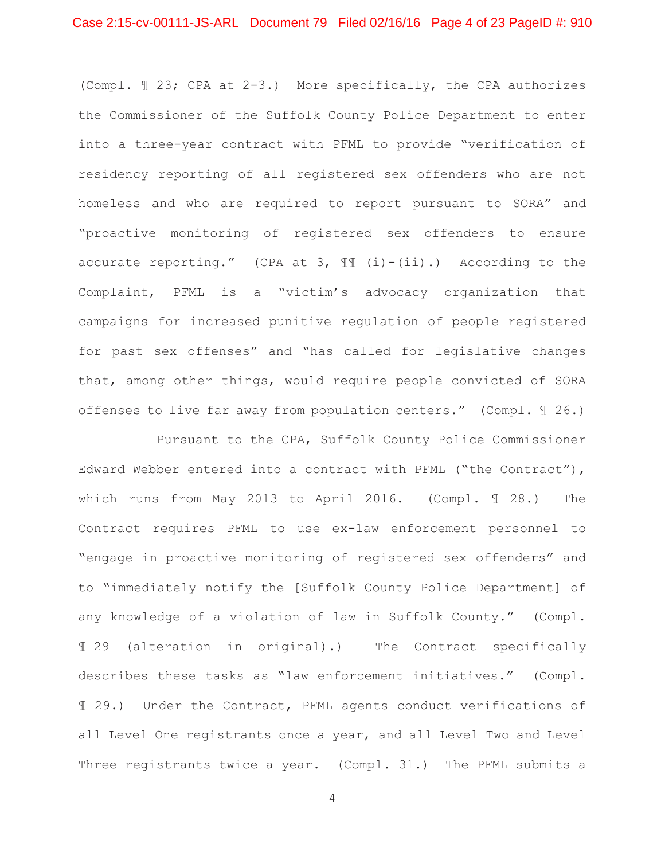(Compl. ¶ 23; CPA at 2-3.) More specifically, the CPA authorizes the Commissioner of the Suffolk County Police Department to enter into a three-year contract with PFML to provide "verification of residency reporting of all registered sex offenders who are not homeless and who are required to report pursuant to SORA" and "proactive monitoring of registered sex offenders to ensure accurate reporting." (CPA at 3,  $\mathbb{I}$  (i)-(ii).) According to the Complaint, PFML is a "victim's advocacy organization that campaigns for increased punitive regulation of people registered for past sex offenses" and "has called for legislative changes that, among other things, would require people convicted of SORA offenses to live far away from population centers." (Compl. ¶ 26.)

 Pursuant to the CPA, Suffolk County Police Commissioner Edward Webber entered into a contract with PFML ("the Contract"), which runs from May 2013 to April 2016. (Compl. ¶ 28.) The Contract requires PFML to use ex-law enforcement personnel to "engage in proactive monitoring of registered sex offenders" and to "immediately notify the [Suffolk County Police Department] of any knowledge of a violation of law in Suffolk County." (Compl. ¶ 29 (alteration in original).) The Contract specifically describes these tasks as "law enforcement initiatives." (Compl. ¶ 29.) Under the Contract, PFML agents conduct verifications of all Level One registrants once a year, and all Level Two and Level Three registrants twice a year. (Compl. 31.) The PFML submits a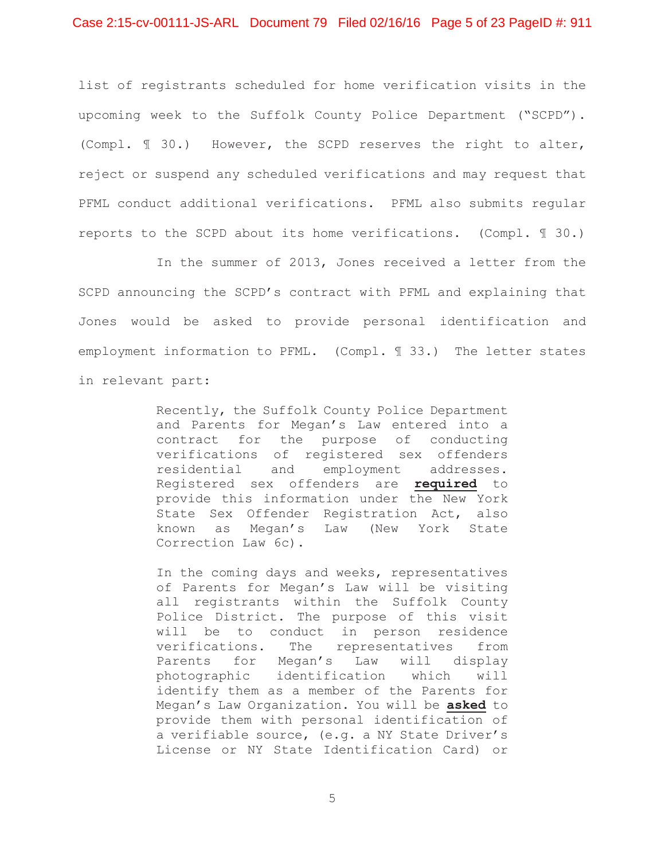list of registrants scheduled for home verification visits in the upcoming week to the Suffolk County Police Department ("SCPD"). (Compl. ¶ 30.) However, the SCPD reserves the right to alter, reject or suspend any scheduled verifications and may request that PFML conduct additional verifications. PFML also submits regular reports to the SCPD about its home verifications. (Compl. ¶ 30.)

 In the summer of 2013, Jones received a letter from the SCPD announcing the SCPD's contract with PFML and explaining that Jones would be asked to provide personal identification and employment information to PFML. (Compl. ¶ 33.) The letter states in relevant part:

> Recently, the Suffolk County Police Department and Parents for Megan's Law entered into a contract for the purpose of conducting verifications of registered sex offenders residential and employment addresses. Registered sex offenders are **required** to provide this information under the New York State Sex Offender Registration Act, also known as Megan's Law (New York State Correction Law 6c).

> In the coming days and weeks, representatives of Parents for Megan's Law will be visiting all registrants within the Suffolk County Police District. The purpose of this visit will be to conduct in person residence verifications. The representatives from Parents for Megan's Law will display photographic identification which will identify them as a member of the Parents for Megan's Law Organization. You will be **asked** to provide them with personal identification of a verifiable source, (e.g. a NY State Driver's License or NY State Identification Card) or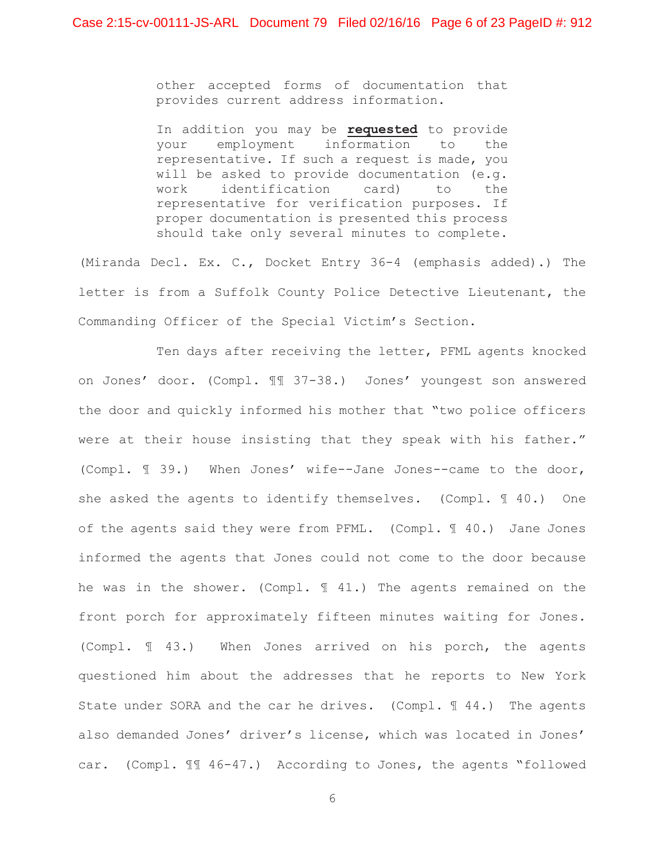other accepted forms of documentation that provides current address information.

In addition you may be **requested** to provide your employment information to the representative. If such a request is made, you will be asked to provide documentation (e.g. work identification card) to the representative for verification purposes. If proper documentation is presented this process should take only several minutes to complete.

(Miranda Decl. Ex. C., Docket Entry 36-4 (emphasis added).) The letter is from a Suffolk County Police Detective Lieutenant, the Commanding Officer of the Special Victim's Section.

 Ten days after receiving the letter, PFML agents knocked on Jones' door. (Compl. ¶¶ 37-38.) Jones' youngest son answered the door and quickly informed his mother that "two police officers were at their house insisting that they speak with his father." (Compl. ¶ 39.) When Jones' wife--Jane Jones--came to the door, she asked the agents to identify themselves. (Compl. ¶ 40.) One of the agents said they were from PFML. (Compl. ¶ 40.) Jane Jones informed the agents that Jones could not come to the door because he was in the shower. (Compl. ¶ 41.) The agents remained on the front porch for approximately fifteen minutes waiting for Jones. (Compl. ¶ 43.) When Jones arrived on his porch, the agents questioned him about the addresses that he reports to New York State under SORA and the car he drives. (Compl. 144.) The agents also demanded Jones' driver's license, which was located in Jones' car. (Compl. ¶¶ 46-47.) According to Jones, the agents "followed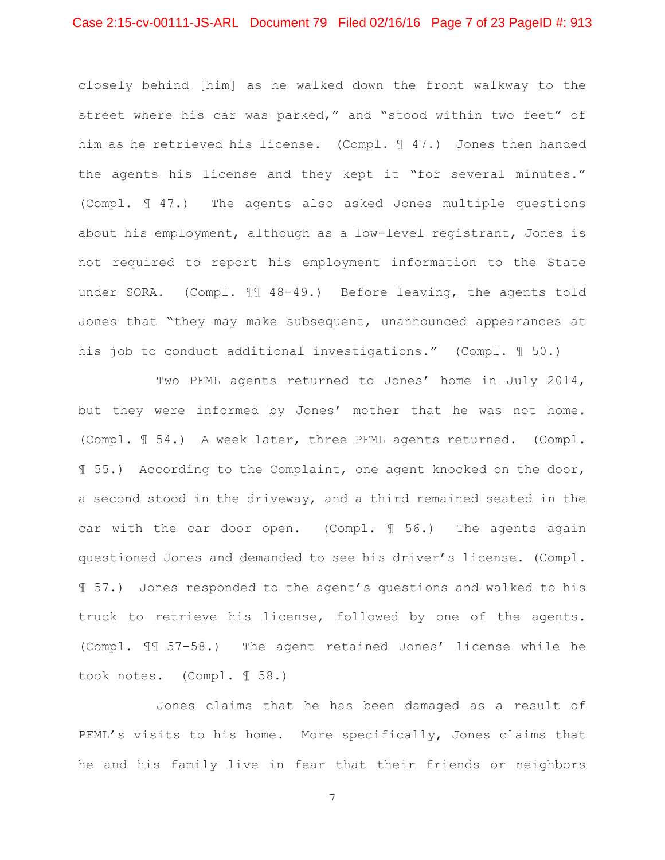## Case 2:15-cv-00111-JS-ARL Document 79 Filed 02/16/16 Page 7 of 23 PageID #: 913

closely behind [him] as he walked down the front walkway to the street where his car was parked," and "stood within two feet" of him as he retrieved his license. (Compl. ¶ 47.) Jones then handed the agents his license and they kept it "for several minutes." (Compl. ¶ 47.) The agents also asked Jones multiple questions about his employment, although as a low-level registrant, Jones is not required to report his employment information to the State under SORA. (Compl. II 48-49.) Before leaving, the agents told Jones that "they may make subsequent, unannounced appearances at his job to conduct additional investigations." (Compl. 1 50.)

 Two PFML agents returned to Jones' home in July 2014, but they were informed by Jones' mother that he was not home. (Compl. ¶ 54.) A week later, three PFML agents returned. (Compl. ¶ 55.) According to the Complaint, one agent knocked on the door, a second stood in the driveway, and a third remained seated in the car with the car door open. (Compl. ¶ 56.) The agents again questioned Jones and demanded to see his driver's license. (Compl. ¶ 57.) Jones responded to the agent's questions and walked to his truck to retrieve his license, followed by one of the agents. (Compl. ¶¶ 57-58.) The agent retained Jones' license while he took notes. (Compl. ¶ 58.)

 Jones claims that he has been damaged as a result of PFML's visits to his home. More specifically, Jones claims that he and his family live in fear that their friends or neighbors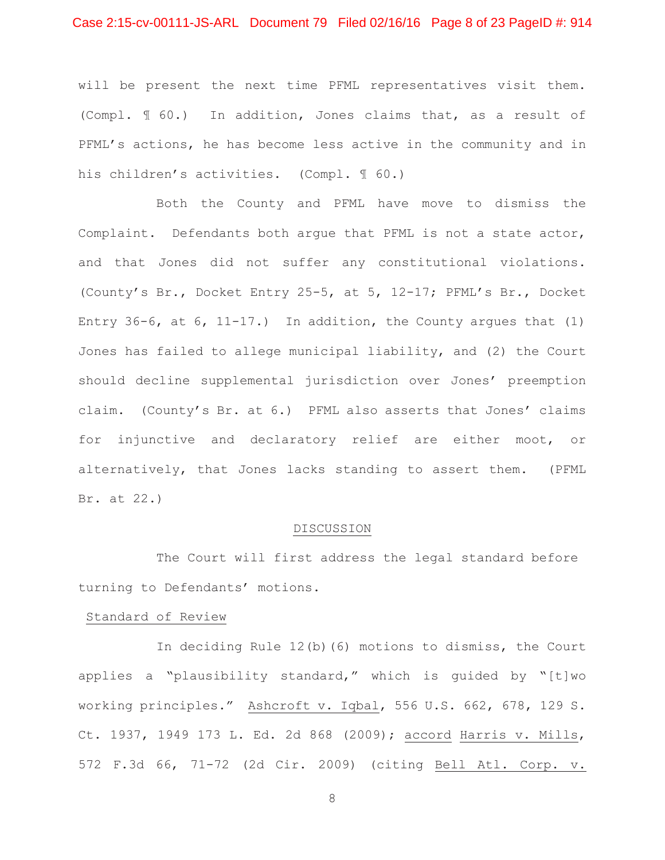## Case 2:15-cv-00111-JS-ARL Document 79 Filed 02/16/16 Page 8 of 23 PageID #: 914

will be present the next time PFML representatives visit them. (Compl. ¶ 60.) In addition, Jones claims that, as a result of PFML's actions, he has become less active in the community and in his children's activities. (Compl. 1 60.)

 Both the County and PFML have move to dismiss the Complaint. Defendants both argue that PFML is not a state actor, and that Jones did not suffer any constitutional violations. (County's Br., Docket Entry 25-5, at 5, 12-17; PFML's Br., Docket Entry 36-6, at 6, 11-17.) In addition, the County argues that (1) Jones has failed to allege municipal liability, and (2) the Court should decline supplemental jurisdiction over Jones' preemption claim. (County's Br. at 6.) PFML also asserts that Jones' claims for injunctive and declaratory relief are either moot, or alternatively, that Jones lacks standing to assert them. (PFML Br. at 22.)

#### DISCUSSION

 The Court will first address the legal standard before turning to Defendants' motions.

#### Standard of Review

In deciding Rule 12(b)(6) motions to dismiss, the Court applies a "plausibility standard," which is guided by "[t]wo working principles." Ashcroft v. Iqbal, 556 U.S. 662, 678, 129 S. Ct. 1937, 1949 173 L. Ed. 2d 868 (2009); accord Harris v. Mills, 572 F.3d 66, 71-72 (2d Cir. 2009) (citing Bell Atl. Corp. v.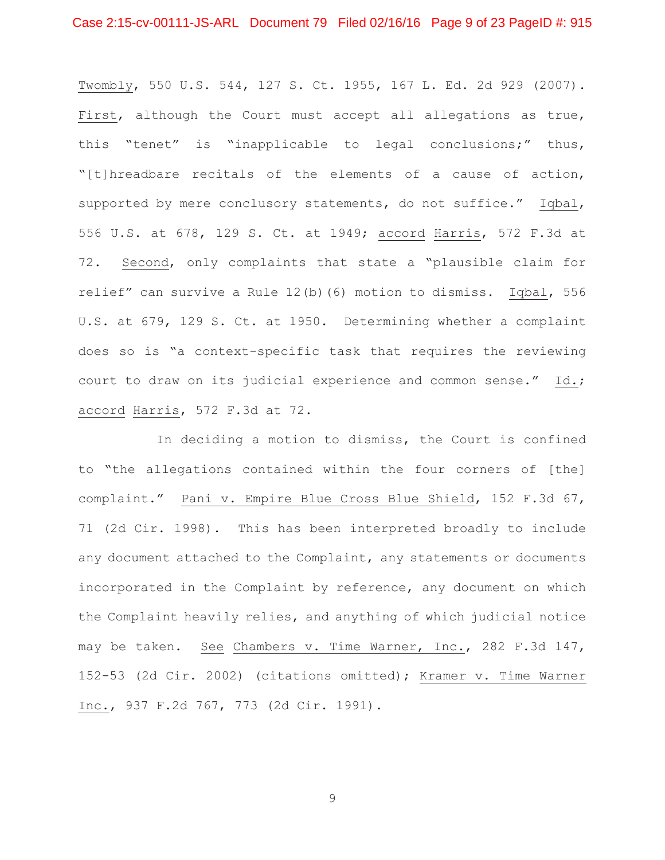Twombly, 550 U.S. 544, 127 S. Ct. 1955, 167 L. Ed. 2d 929 (2007). First, although the Court must accept all allegations as true, this "tenet" is "inapplicable to legal conclusions;" thus, "[t]hreadbare recitals of the elements of a cause of action, supported by mere conclusory statements, do not suffice." Iqbal, 556 U.S. at 678, 129 S. Ct. at 1949; accord Harris, 572 F.3d at 72. Second, only complaints that state a "plausible claim for relief" can survive a Rule 12(b)(6) motion to dismiss. Iqbal, 556 U.S. at 679, 129 S. Ct. at 1950. Determining whether a complaint does so is "a context-specific task that requires the reviewing court to draw on its judicial experience and common sense." Id.; accord Harris, 572 F.3d at 72.

In deciding a motion to dismiss, the Court is confined to "the allegations contained within the four corners of [the] complaint." Pani v. Empire Blue Cross Blue Shield, 152 F.3d 67, 71 (2d Cir. 1998). This has been interpreted broadly to include any document attached to the Complaint, any statements or documents incorporated in the Complaint by reference, any document on which the Complaint heavily relies, and anything of which judicial notice may be taken. See Chambers v. Time Warner, Inc., 282 F.3d 147, 152-53 (2d Cir. 2002) (citations omitted); Kramer v. Time Warner Inc., 937 F.2d 767, 773 (2d Cir. 1991).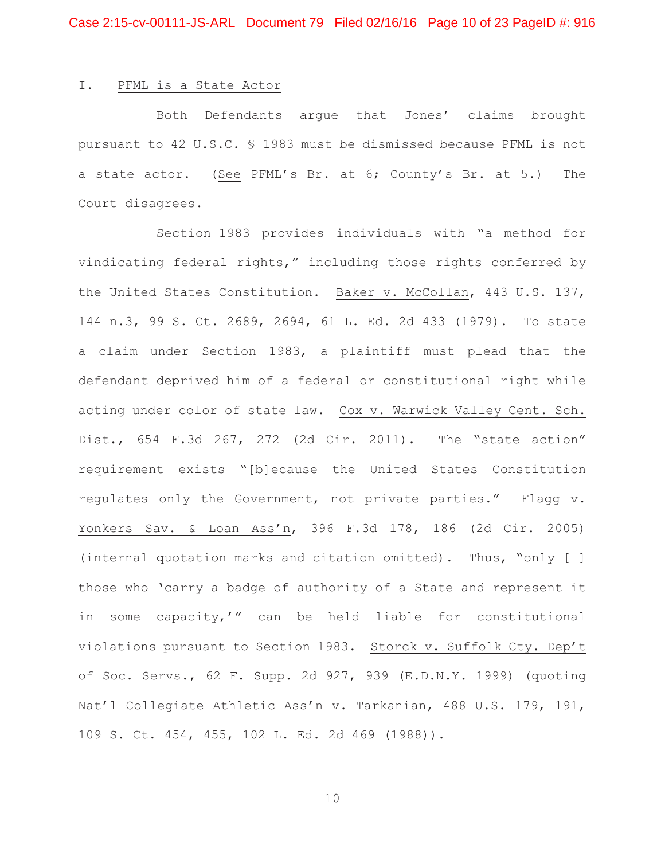#### I. PFML is a State Actor

Both Defendants argue that Jones' claims brought pursuant to 42 U.S.C. § 1983 must be dismissed because PFML is not a state actor. (See PFML's Br. at 6; County's Br. at 5.) The Court disagrees.

Section 1983 provides individuals with "a method for vindicating federal rights," including those rights conferred by the United States Constitution. Baker v. McCollan, 443 U.S. 137, 144 n.3, 99 S. Ct. 2689, 2694, 61 L. Ed. 2d 433 (1979). To state a claim under Section 1983, a plaintiff must plead that the defendant deprived him of a federal or constitutional right while acting under color of state law. Cox v. Warwick Valley Cent. Sch. Dist., 654 F.3d 267, 272 (2d Cir. 2011). The "state action" requirement exists "[b]ecause the United States Constitution regulates only the Government, not private parties." Flagg v. Yonkers Sav. & Loan Ass'n, 396 F.3d 178, 186 (2d Cir. 2005) (internal quotation marks and citation omitted). Thus, "only [ ] those who 'carry a badge of authority of a State and represent it in some capacity,'" can be held liable for constitutional violations pursuant to Section 1983. Storck v. Suffolk Cty. Dep't of Soc. Servs., 62 F. Supp. 2d 927, 939 (E.D.N.Y. 1999) (quoting Nat'l Collegiate Athletic Ass'n v. Tarkanian, 488 U.S. 179, 191, 109 S. Ct. 454, 455, 102 L. Ed. 2d 469 (1988)).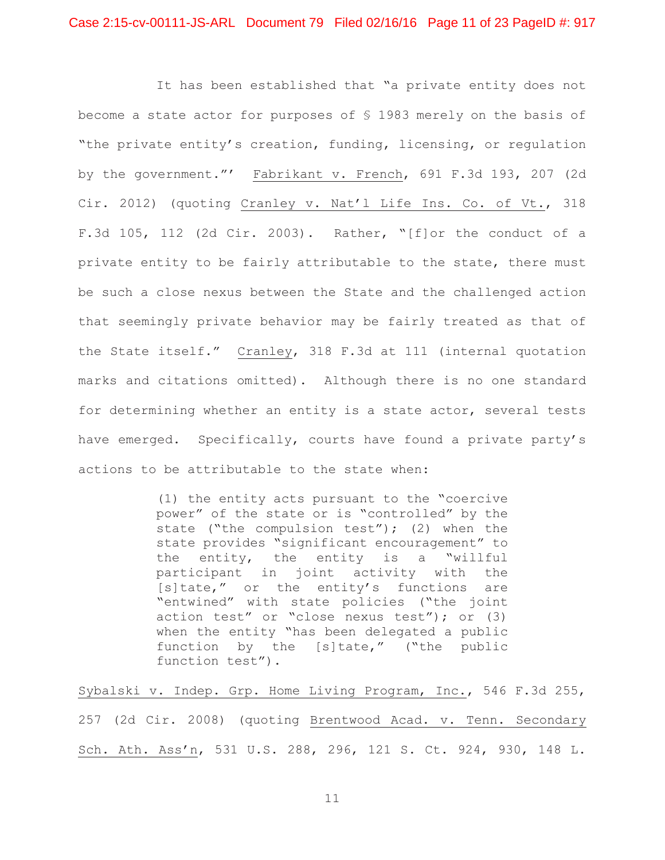It has been established that "a private entity does not become a state actor for purposes of § 1983 merely on the basis of "the private entity's creation, funding, licensing, or regulation by the government."' Fabrikant v. French, 691 F.3d 193, 207 (2d Cir. 2012) (quoting Cranley v. Nat'l Life Ins. Co. of Vt., 318 F.3d 105, 112 (2d Cir. 2003). Rather, "[f]or the conduct of a private entity to be fairly attributable to the state, there must be such a close nexus between the State and the challenged action that seemingly private behavior may be fairly treated as that of the State itself." Cranley, 318 F.3d at 111 (internal quotation marks and citations omitted). Although there is no one standard for determining whether an entity is a state actor, several tests have emerged. Specifically, courts have found a private party's actions to be attributable to the state when:

> (1) the entity acts pursuant to the "coercive power" of the state or is "controlled" by the state ("the compulsion test"); (2) when the state provides "significant encouragement" to the entity, the entity is a "willful participant in joint activity with the [s]tate," or the entity's functions are "entwined" with state policies ("the joint action test" or "close nexus test"); or (3) when the entity "has been delegated a public function by the [s]tate," ("the public function test").

Sybalski v. Indep. Grp. Home Living Program, Inc., 546 F.3d 255, 257 (2d Cir. 2008) (quoting Brentwood Acad. v. Tenn. Secondary Sch. Ath. Ass'n, 531 U.S. 288, 296, 121 S. Ct. 924, 930, 148 L.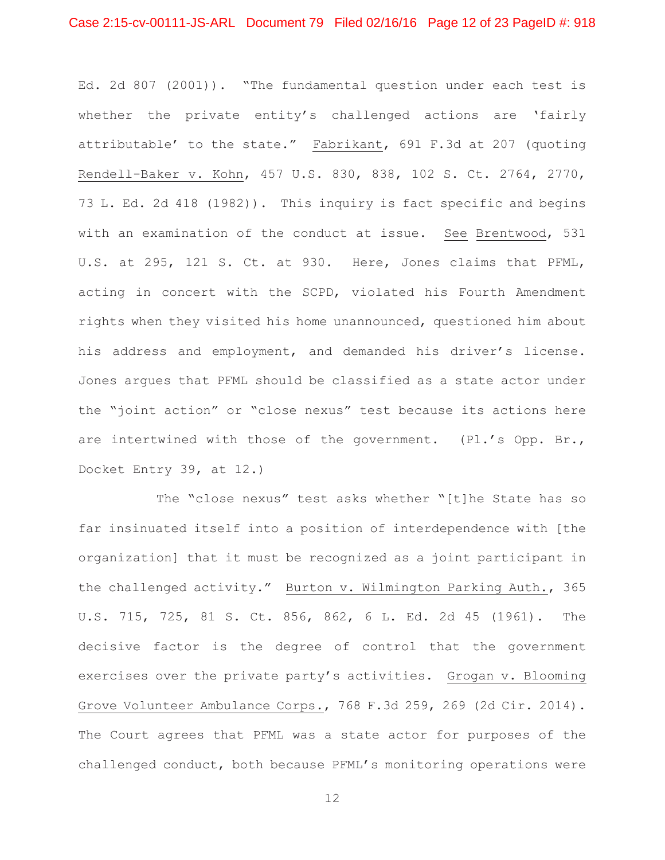## Case 2:15-cv-00111-JS-ARL Document 79 Filed 02/16/16 Page 12 of 23 PageID #: 918

Ed. 2d 807 (2001)). "The fundamental question under each test is whether the private entity's challenged actions are 'fairly attributable' to the state." Fabrikant, 691 F.3d at 207 (quoting Rendell-Baker v. Kohn, 457 U.S. 830, 838, 102 S. Ct. 2764, 2770, 73 L. Ed. 2d 418 (1982)). This inquiry is fact specific and begins with an examination of the conduct at issue. See Brentwood, 531 U.S. at 295, 121 S. Ct. at 930. Here, Jones claims that PFML, acting in concert with the SCPD, violated his Fourth Amendment rights when they visited his home unannounced, questioned him about his address and employment, and demanded his driver's license. Jones argues that PFML should be classified as a state actor under the "joint action" or "close nexus" test because its actions here are intertwined with those of the government. (Pl.'s Opp. Br., Docket Entry 39, at 12.)

 The "close nexus" test asks whether "[t]he State has so far insinuated itself into a position of interdependence with [the organization] that it must be recognized as a joint participant in the challenged activity." Burton v. Wilmington Parking Auth., 365 U.S. 715, 725, 81 S. Ct. 856, 862, 6 L. Ed. 2d 45 (1961). The decisive factor is the degree of control that the government exercises over the private party's activities. Grogan v. Blooming Grove Volunteer Ambulance Corps., 768 F.3d 259, 269 (2d Cir. 2014). The Court agrees that PFML was a state actor for purposes of the challenged conduct, both because PFML's monitoring operations were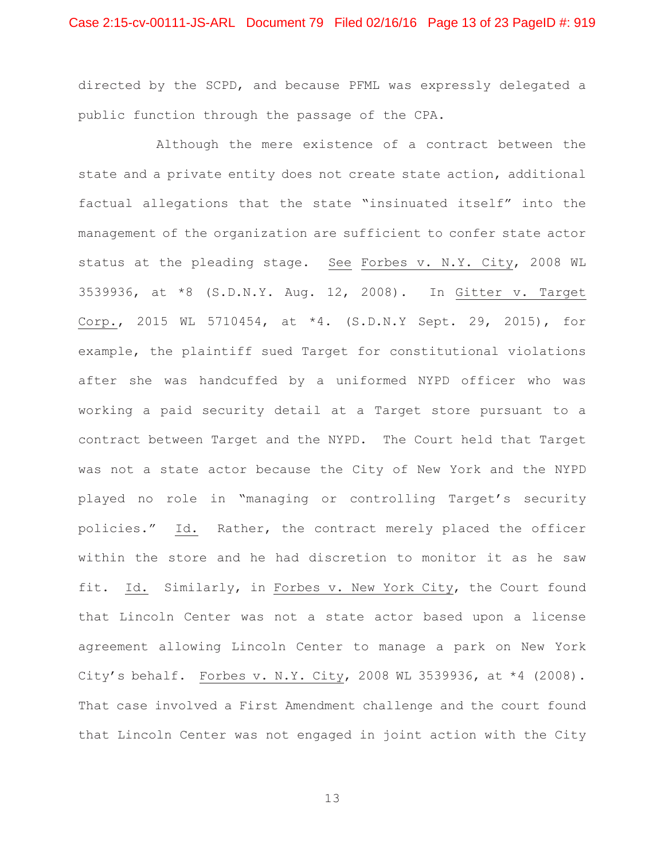## Case 2:15-cv-00111-JS-ARL Document 79 Filed 02/16/16 Page 13 of 23 PageID #: 919

directed by the SCPD, and because PFML was expressly delegated a public function through the passage of the CPA.

 Although the mere existence of a contract between the state and a private entity does not create state action, additional factual allegations that the state "insinuated itself" into the management of the organization are sufficient to confer state actor status at the pleading stage. See Forbes v. N.Y. City, 2008 WL 3539936, at \*8 (S.D.N.Y. Aug. 12, 2008). In Gitter v. Target Corp., 2015 WL 5710454, at \*4. (S.D.N.Y Sept. 29, 2015), for example, the plaintiff sued Target for constitutional violations after she was handcuffed by a uniformed NYPD officer who was working a paid security detail at a Target store pursuant to a contract between Target and the NYPD. The Court held that Target was not a state actor because the City of New York and the NYPD played no role in "managing or controlling Target's security policies." Id. Rather, the contract merely placed the officer within the store and he had discretion to monitor it as he saw fit. Id. Similarly, in Forbes v. New York City, the Court found that Lincoln Center was not a state actor based upon a license agreement allowing Lincoln Center to manage a park on New York City's behalf. Forbes v. N.Y. City, 2008 WL 3539936, at \*4 (2008). That case involved a First Amendment challenge and the court found that Lincoln Center was not engaged in joint action with the City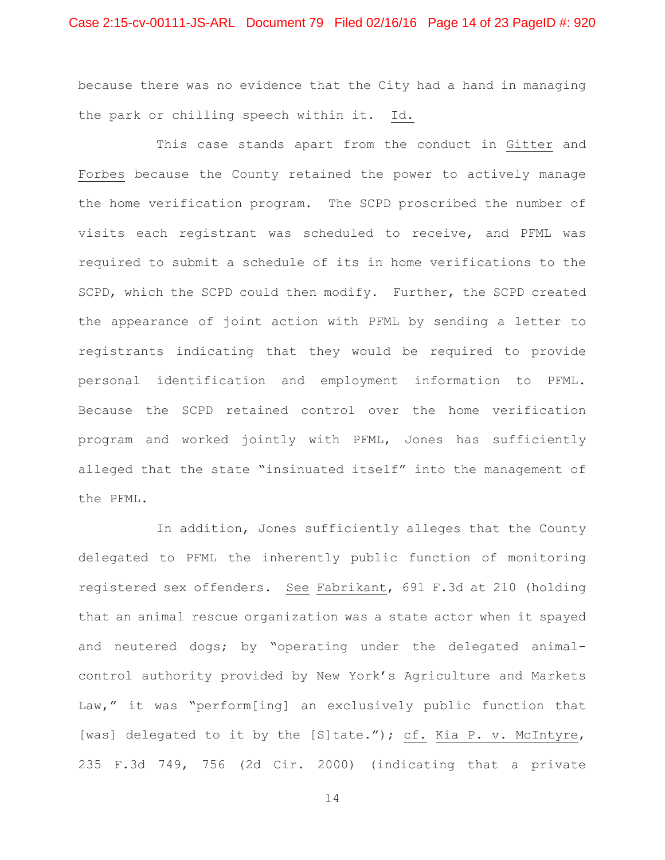## Case 2:15-cv-00111-JS-ARL Document 79 Filed 02/16/16 Page 14 of 23 PageID #: 920

because there was no evidence that the City had a hand in managing the park or chilling speech within it. Id.

 This case stands apart from the conduct in Gitter and Forbes because the County retained the power to actively manage the home verification program. The SCPD proscribed the number of visits each registrant was scheduled to receive, and PFML was required to submit a schedule of its in home verifications to the SCPD, which the SCPD could then modify. Further, the SCPD created the appearance of joint action with PFML by sending a letter to registrants indicating that they would be required to provide personal identification and employment information to PFML. Because the SCPD retained control over the home verification program and worked jointly with PFML, Jones has sufficiently alleged that the state "insinuated itself" into the management of the PFML.

 In addition, Jones sufficiently alleges that the County delegated to PFML the inherently public function of monitoring registered sex offenders. See Fabrikant, 691 F.3d at 210 (holding that an animal rescue organization was a state actor when it spayed and neutered dogs; by "operating under the delegated animalcontrol authority provided by New York's Agriculture and Markets Law," it was "perform[ing] an exclusively public function that [was] delegated to it by the [S]tate."); cf. Kia P. v. McIntyre, 235 F.3d 749, 756 (2d Cir. 2000) (indicating that a private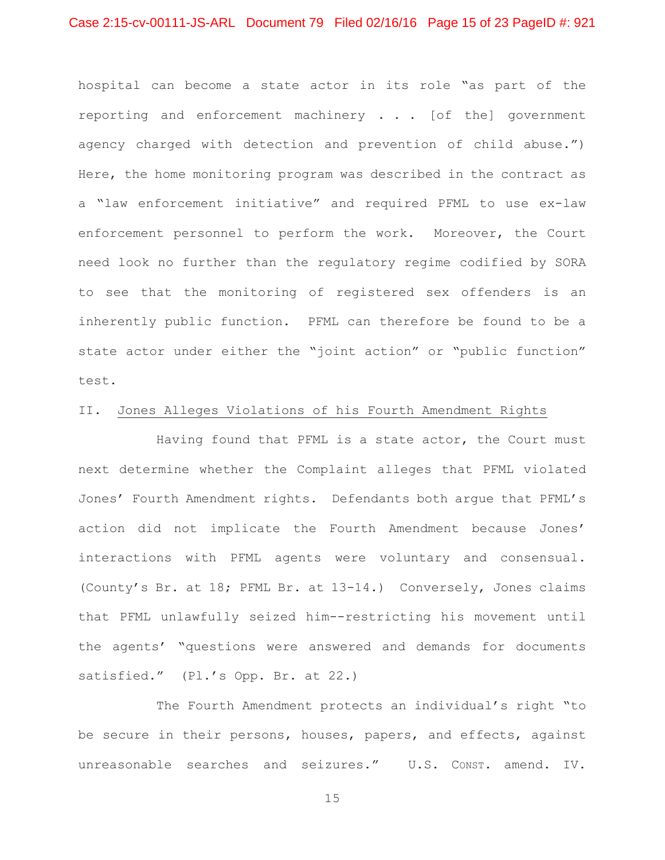## Case 2:15-cv-00111-JS-ARL Document 79 Filed 02/16/16 Page 15 of 23 PageID #: 921

hospital can become a state actor in its role "as part of the reporting and enforcement machinery . . . [of the] government agency charged with detection and prevention of child abuse.") Here, the home monitoring program was described in the contract as a "law enforcement initiative" and required PFML to use ex-law enforcement personnel to perform the work. Moreover, the Court need look no further than the regulatory regime codified by SORA to see that the monitoring of registered sex offenders is an inherently public function. PFML can therefore be found to be a state actor under either the "joint action" or "public function" test.

#### II. Jones Alleges Violations of his Fourth Amendment Rights

 Having found that PFML is a state actor, the Court must next determine whether the Complaint alleges that PFML violated Jones' Fourth Amendment rights. Defendants both argue that PFML's action did not implicate the Fourth Amendment because Jones' interactions with PFML agents were voluntary and consensual. (County's Br. at 18; PFML Br. at 13-14.) Conversely, Jones claims that PFML unlawfully seized him--restricting his movement until the agents' "questions were answered and demands for documents satisfied." (Pl.'s Opp. Br. at 22.)

 The Fourth Amendment protects an individual's right "to be secure in their persons, houses, papers, and effects, against unreasonable searches and seizures." U.S. CONST. amend. IV.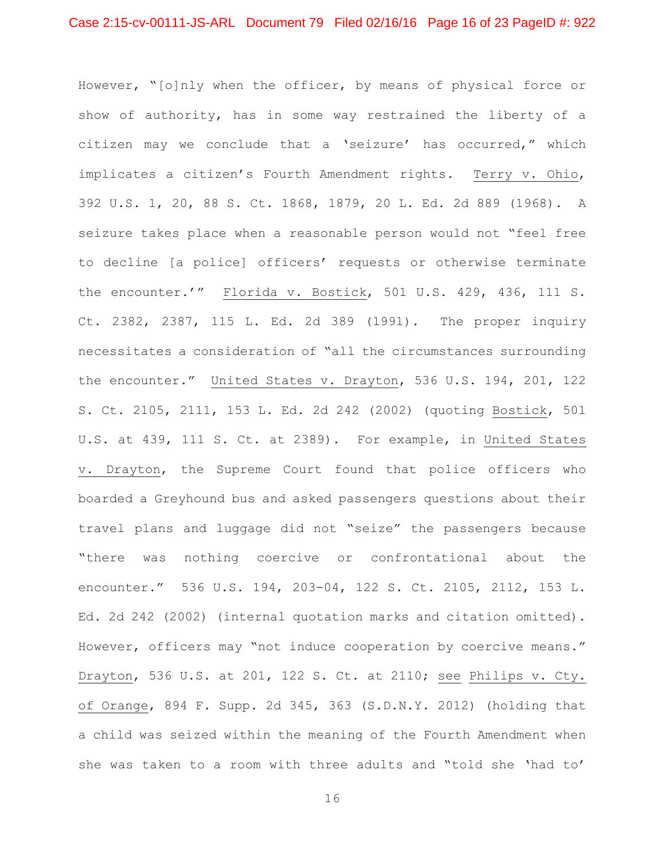However, "[o]nly when the officer, by means of physical force or show of authority, has in some way restrained the liberty of a citizen may we conclude that a 'seizure' has occurred," which implicates a citizen's Fourth Amendment rights. Terry v. Ohio, 392 U.S. 1, 20, 88 S. Ct. 1868, 1879, 20 L. Ed. 2d 889 (1968). A seizure takes place when a reasonable person would not "feel free to decline [a police] officers' requests or otherwise terminate the encounter.'" Florida v. Bostick, 501 U.S. 429, 436, 111 S. Ct. 2382, 2387, 115 L. Ed. 2d 389 (1991). The proper inquiry necessitates a consideration of "all the circumstances surrounding the encounter." United States v. Drayton, 536 U.S. 194, 201, 122 S. Ct. 2105, 2111, 153 L. Ed. 2d 242 (2002) (quoting Bostick, 501 U.S. at 439, 111 S. Ct. at 2389). For example, in United States v. Drayton, the Supreme Court found that police officers who boarded a Greyhound bus and asked passengers questions about their travel plans and luggage did not "seize" the passengers because "there was nothing coercive or confrontational about the encounter." 536 U.S. 194, 203-04, 122 S. Ct. 2105, 2112, 153 L. Ed. 2d 242 (2002) (internal quotation marks and citation omitted). However, officers may "not induce cooperation by coercive means." Drayton, 536 U.S. at 201, 122 S. Ct. at 2110; see Philips v. Cty. of Orange, 894 F. Supp. 2d 345, 363 (S.D.N.Y. 2012) (holding that a child was seized within the meaning of the Fourth Amendment when she was taken to a room with three adults and "told she 'had to'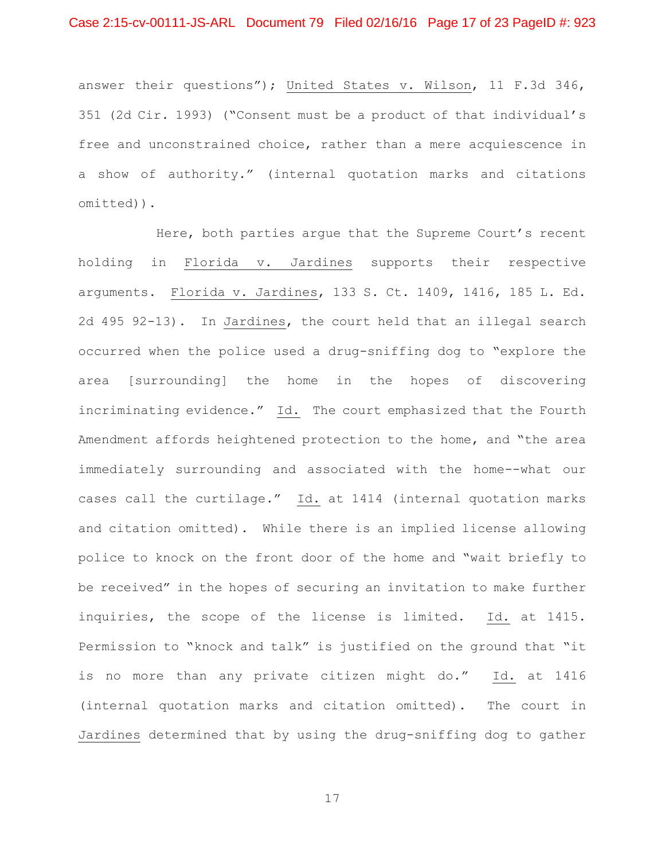answer their questions"); United States v. Wilson, 11 F.3d 346, 351 (2d Cir. 1993) ("Consent must be a product of that individual's free and unconstrained choice, rather than a mere acquiescence in a show of authority." (internal quotation marks and citations omitted)).

 Here, both parties argue that the Supreme Court's recent holding in Florida v. Jardines supports their respective arguments. Florida v. Jardines, 133 S. Ct. 1409, 1416, 185 L. Ed. 2d 495 92-13). In Jardines, the court held that an illegal search occurred when the police used a drug-sniffing dog to "explore the area [surrounding] the home in the hopes of discovering incriminating evidence." Id. The court emphasized that the Fourth Amendment affords heightened protection to the home, and "the area immediately surrounding and associated with the home--what our cases call the curtilage." Id. at 1414 (internal quotation marks and citation omitted). While there is an implied license allowing police to knock on the front door of the home and "wait briefly to be received" in the hopes of securing an invitation to make further inquiries, the scope of the license is limited. Id. at 1415. Permission to "knock and talk" is justified on the ground that "it is no more than any private citizen might do." Id. at 1416 (internal quotation marks and citation omitted). The court in Jardines determined that by using the drug-sniffing dog to gather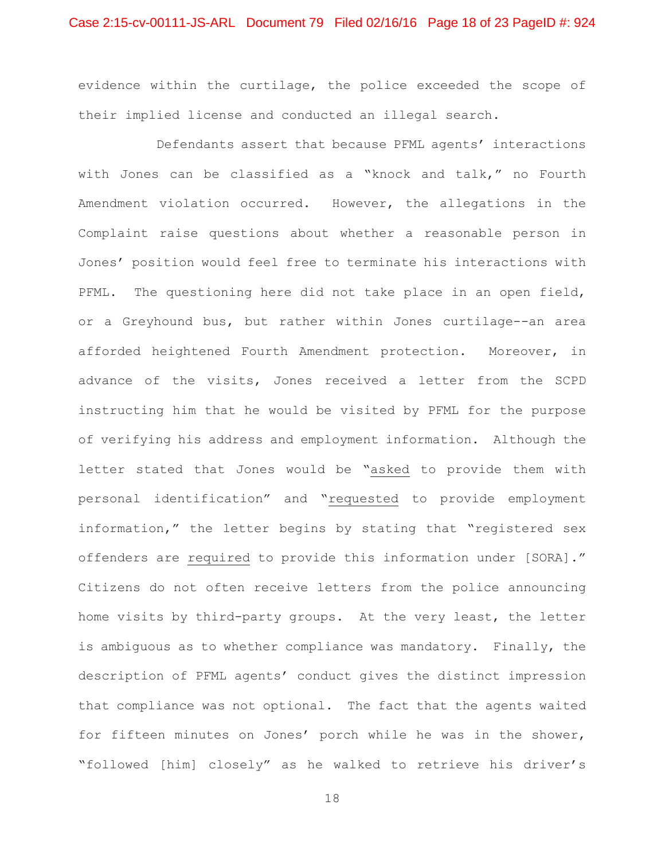evidence within the curtilage, the police exceeded the scope of their implied license and conducted an illegal search.

Defendants assert that because PFML agents' interactions with Jones can be classified as a "knock and talk," no Fourth Amendment violation occurred. However, the allegations in the Complaint raise questions about whether a reasonable person in Jones' position would feel free to terminate his interactions with PFML. The questioning here did not take place in an open field, or a Greyhound bus, but rather within Jones curtilage--an area afforded heightened Fourth Amendment protection. Moreover, in advance of the visits, Jones received a letter from the SCPD instructing him that he would be visited by PFML for the purpose of verifying his address and employment information. Although the letter stated that Jones would be "asked to provide them with personal identification" and "requested to provide employment information," the letter begins by stating that "registered sex offenders are required to provide this information under [SORA]." Citizens do not often receive letters from the police announcing home visits by third-party groups. At the very least, the letter is ambiguous as to whether compliance was mandatory. Finally, the description of PFML agents' conduct gives the distinct impression that compliance was not optional. The fact that the agents waited for fifteen minutes on Jones' porch while he was in the shower, "followed [him] closely" as he walked to retrieve his driver's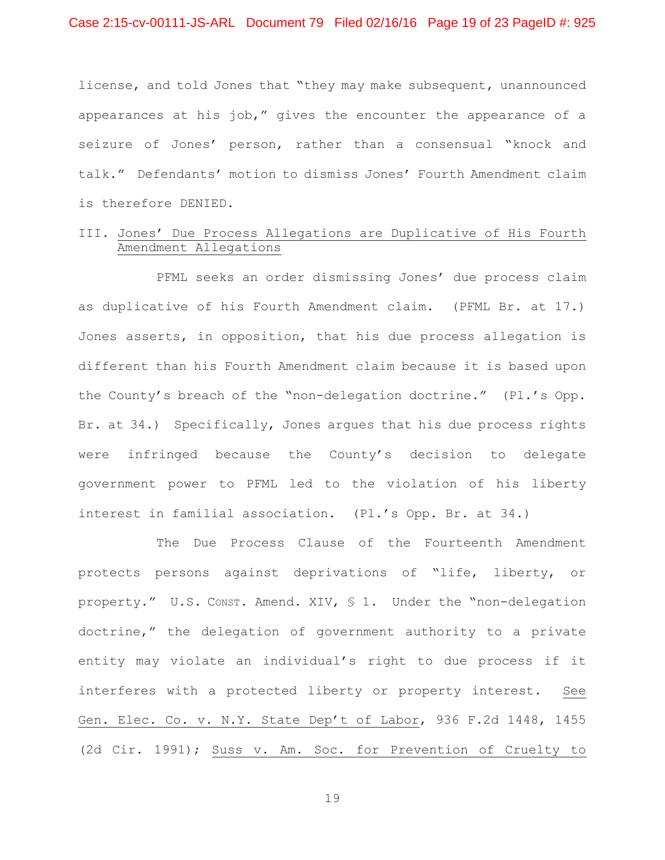license, and told Jones that "they may make subsequent, unannounced appearances at his job," gives the encounter the appearance of a seizure of Jones' person, rather than a consensual "knock and talk." Defendants' motion to dismiss Jones' Fourth Amendment claim is therefore DENIED.

# III. Jones' Due Process Allegations are Duplicative of His Fourth Amendment Allegations

 PFML seeks an order dismissing Jones' due process claim as duplicative of his Fourth Amendment claim. (PFML Br. at 17.) Jones asserts, in opposition, that his due process allegation is different than his Fourth Amendment claim because it is based upon the County's breach of the "non-delegation doctrine." (Pl.'s Opp. Br. at 34.) Specifically, Jones argues that his due process rights were infringed because the County's decision to delegate government power to PFML led to the violation of his liberty interest in familial association. (Pl.'s Opp. Br. at 34.)

 The Due Process Clause of the Fourteenth Amendment protects persons against deprivations of "life, liberty, or property." U.S. CONST. Amend. XIV, § 1. Under the "non-delegation doctrine," the delegation of government authority to a private entity may violate an individual's right to due process if it interferes with a protected liberty or property interest. See Gen. Elec. Co. v. N.Y. State Dep't of Labor, 936 F.2d 1448, 1455 (2d Cir. 1991); Suss v. Am. Soc. for Prevention of Cruelty to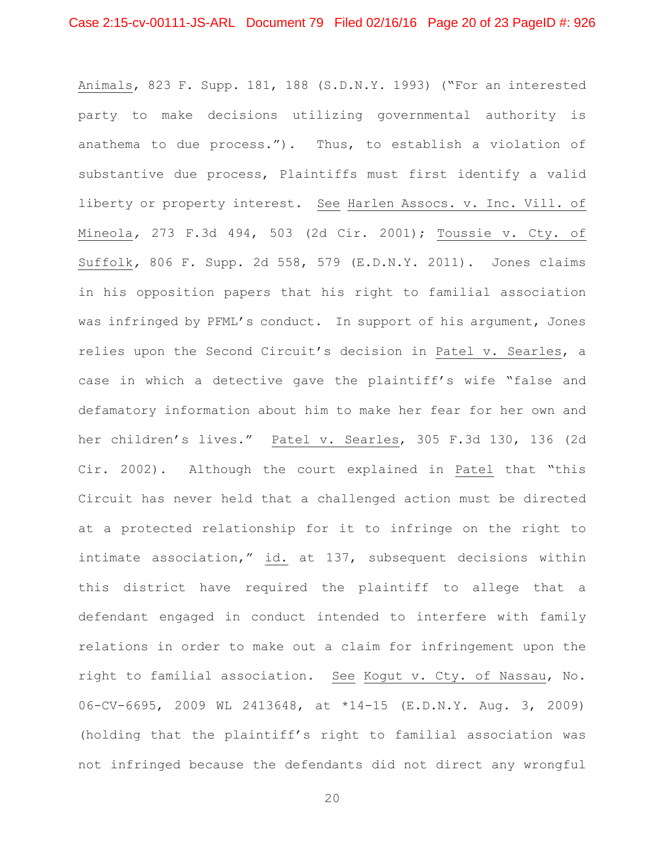Animals, 823 F. Supp. 181, 188 (S.D.N.Y. 1993) ("For an interested party to make decisions utilizing governmental authority is anathema to due process."). Thus, to establish a violation of substantive due process, Plaintiffs must first identify a valid liberty or property interest. See Harlen Assocs. v. Inc. Vill. of Mineola*,* 273 F.3d 494, 503 (2d Cir. 2001); Toussie v. Cty. of Suffolk*,* 806 F. Supp. 2d 558, 579 (E.D.N.Y. 2011). Jones claims in his opposition papers that his right to familial association was infringed by PFML's conduct. In support of his argument, Jones relies upon the Second Circuit's decision in Patel v. Searles, a case in which a detective gave the plaintiff's wife "false and defamatory information about him to make her fear for her own and her children's lives." Patel v. Searles, 305 F.3d 130, 136 (2d Cir. 2002). Although the court explained in Patel that "this Circuit has never held that a challenged action must be directed at a protected relationship for it to infringe on the right to intimate association," id. at 137, subsequent decisions within this district have required the plaintiff to allege that a defendant engaged in conduct intended to interfere with family relations in order to make out a claim for infringement upon the right to familial association. See Kogut v. Cty. of Nassau, No. 06-CV-6695, 2009 WL 2413648, at \*14-15 (E.D.N.Y. Aug. 3, 2009) (holding that the plaintiff's right to familial association was not infringed because the defendants did not direct any wrongful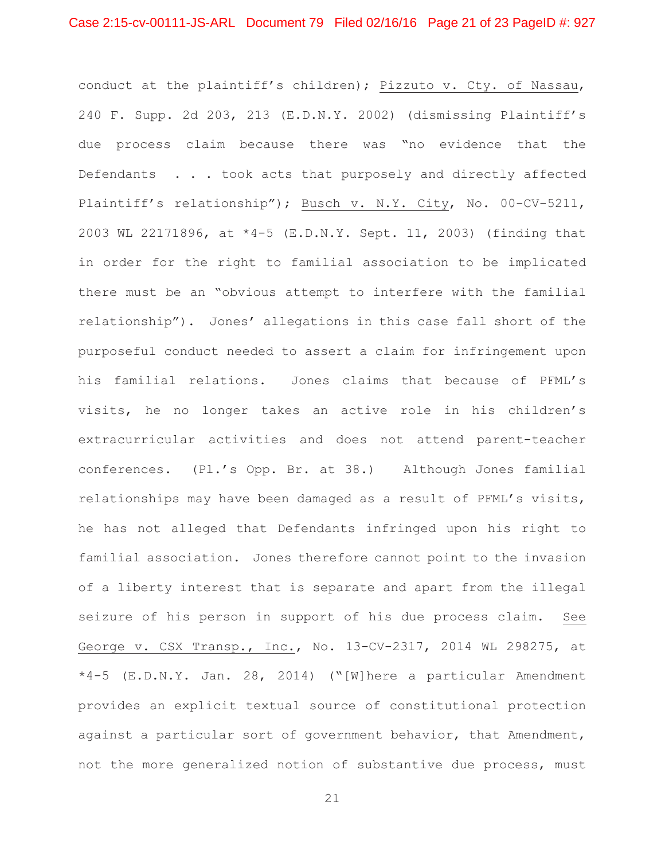conduct at the plaintiff's children); Pizzuto v. Cty. of Nassau, 240 F. Supp. 2d 203, 213 (E.D.N.Y. 2002) (dismissing Plaintiff's due process claim because there was "no evidence that the Defendants . . . took acts that purposely and directly affected Plaintiff's relationship"); Busch v. N.Y. City, No. 00-CV-5211, 2003 WL 22171896, at \*4-5 (E.D.N.Y. Sept. 11, 2003) (finding that in order for the right to familial association to be implicated there must be an "obvious attempt to interfere with the familial relationship"). Jones' allegations in this case fall short of the purposeful conduct needed to assert a claim for infringement upon his familial relations. Jones claims that because of PFML's visits, he no longer takes an active role in his children's extracurricular activities and does not attend parent-teacher conferences. (Pl.'s Opp. Br. at 38.) Although Jones familial relationships may have been damaged as a result of PFML's visits, he has not alleged that Defendants infringed upon his right to familial association. Jones therefore cannot point to the invasion of a liberty interest that is separate and apart from the illegal seizure of his person in support of his due process claim. See George v. CSX Transp., Inc., No. 13-CV-2317, 2014 WL 298275, at \*4-5 (E.D.N.Y. Jan. 28, 2014) ("[W]here a particular Amendment provides an explicit textual source of constitutional protection against a particular sort of government behavior, that Amendment, not the more generalized notion of substantive due process, must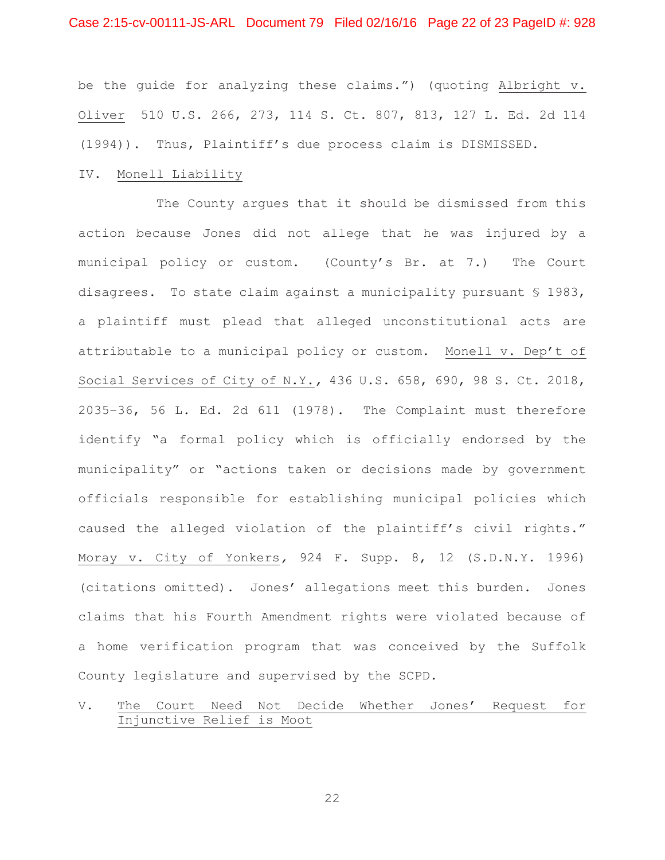## Case 2:15-cv-00111-JS-ARL Document 79 Filed 02/16/16 Page 22 of 23 PageID #: 928

be the guide for analyzing these claims.") (quoting Albright v. Oliver 510 U.S. 266, 273, 114 S. Ct. 807, 813, 127 L. Ed. 2d 114 (1994)). Thus, Plaintiff's due process claim is DISMISSED.

#### IV. Monell Liability

 The County argues that it should be dismissed from this action because Jones did not allege that he was injured by a municipal policy or custom. (County's Br. at 7.) The Court disagrees. To state claim against a municipality pursuant § 1983, a plaintiff must plead that alleged unconstitutional acts are attributable to a municipal policy or custom. Monell v. Dep't of Social Services of City of N.Y.*,* 436 U.S. 658, 690, 98 S. Ct. 2018, 2035–36, 56 L. Ed. 2d 611 (1978). The Complaint must therefore identify "a formal policy which is officially endorsed by the municipality" or "actions taken or decisions made by government officials responsible for establishing municipal policies which caused the alleged violation of the plaintiff's civil rights." Moray v. City of Yonkers*,* 924 F. Supp. 8, 12 (S.D.N.Y. 1996) (citations omitted). Jones' allegations meet this burden. Jones claims that his Fourth Amendment rights were violated because of a home verification program that was conceived by the Suffolk County legislature and supervised by the SCPD.

# V. The Court Need Not Decide Whether Jones' Request for Injunctive Relief is Moot